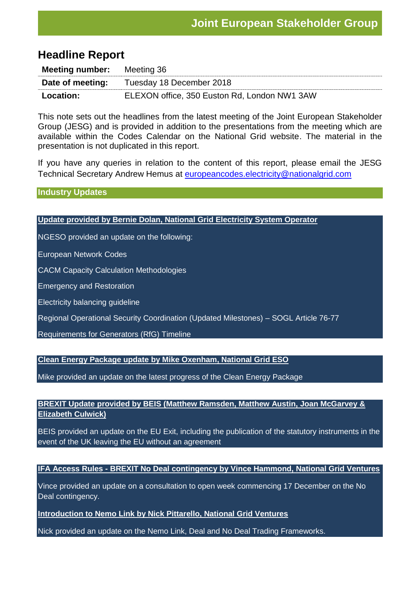# **Headline Report**

| <b>Meeting number:</b> | Meeting 36                                   |  |  |
|------------------------|----------------------------------------------|--|--|
| Date of meeting:       | Tuesday 18 December 2018                     |  |  |
| <b>Location:</b>       | ELEXON office, 350 Euston Rd, London NW1 3AW |  |  |

This note sets out the headlines from the latest meeting of the Joint European Stakeholder Group (JESG) and is provided in addition to the presentations from the meeting which are available within the Codes Calendar on the National Grid website. The material in the presentation is not duplicated in this report.

If you have any queries in relation to the content of this report, please email the JESG Technical Secretary Andrew Hemus at [europeancodes.electricity@nationalgrid.com](mailto:europeancodes.electricity@nationalgrid.com)

**Industry Updates**

#### **Update provided by Bernie Dolan, National Grid Electricity System Operator**

NGESO provided an update on the following:

European Network Codes

CACM Capacity Calculation Methodologies

Emergency and Restoration

Electricity balancing guideline

Regional Operational Security Coordination (Updated Milestones) – SOGL Article 76-77

Requirements for Generators (RfG) Timeline

**Clean Energy Package update by Mike Oxenham, National Grid ESO**

Mike provided an update on the latest progress of the Clean Energy Package

## **BREXIT Update provided by BEIS (Matthew Ramsden, Matthew Austin, Joan McGarvey & Elizabeth Culwick)**

BEIS provided an update on the EU Exit, including the publication of the statutory instruments in the event of the UK leaving the EU without an agreement

### **IFA Access Rules - BREXIT No Deal contingency by Vince Hammond, National Grid Ventures**

Vince provided an update on a consultation to open week commencing 17 December on the No Deal contingency.

### **Introduction to Nemo Link by Nick Pittarello, National Grid Ventures**

Nick provided an update on the Nemo Link, Deal and No Deal Trading Frameworks.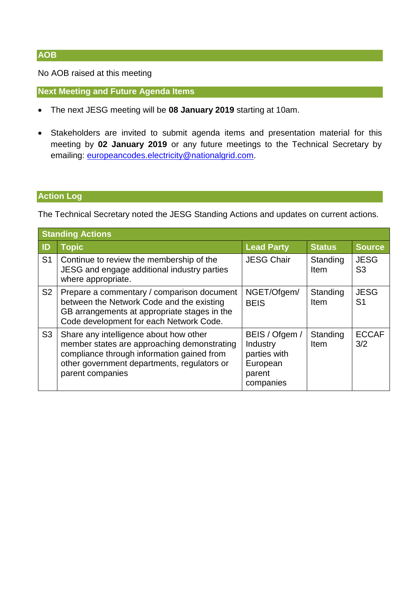No AOB raised at this meeting

**Next Meeting and Future Agenda Items**

- The next JESG meeting will be **08 January 2019** starting at 10am.
- Stakeholders are invited to submit agenda items and presentation material for this meeting by **02 January 2019** or any future meetings to the Technical Secretary by emailing: [europeancodes.electricity@nationalgrid.com.](mailto:europeancodes.electricity@nationalgrid.com)

### **Action Log**

The Technical Secretary noted the JESG Standing Actions and updates on current actions.

| <b>Standing Actions</b> |                                                                                                                                                                                                        |                                                                               |                  |                               |
|-------------------------|--------------------------------------------------------------------------------------------------------------------------------------------------------------------------------------------------------|-------------------------------------------------------------------------------|------------------|-------------------------------|
| ID                      | <b>Topic</b>                                                                                                                                                                                           | <b>Lead Party</b>                                                             | <b>Status</b>    | <b>Source</b>                 |
| S <sub>1</sub>          | Continue to review the membership of the<br>JESG and engage additional industry parties<br>where appropriate.                                                                                          | <b>JESG Chair</b>                                                             | Standing<br>Item | <b>JESG</b><br>S <sub>3</sub> |
| S <sub>2</sub>          | Prepare a commentary / comparison document<br>between the Network Code and the existing<br>GB arrangements at appropriate stages in the<br>Code development for each Network Code.                     | NGET/Ofgem/<br><b>BEIS</b>                                                    | Standing<br>Item | <b>JESG</b><br>S <sub>1</sub> |
| S <sub>3</sub>          | Share any intelligence about how other<br>member states are approaching demonstrating<br>compliance through information gained from<br>other government departments, regulators or<br>parent companies | BEIS / Ofgem /<br>Industry<br>parties with<br>European<br>parent<br>companies | Standing<br>Item | <b>ECCAF</b><br>3/2           |